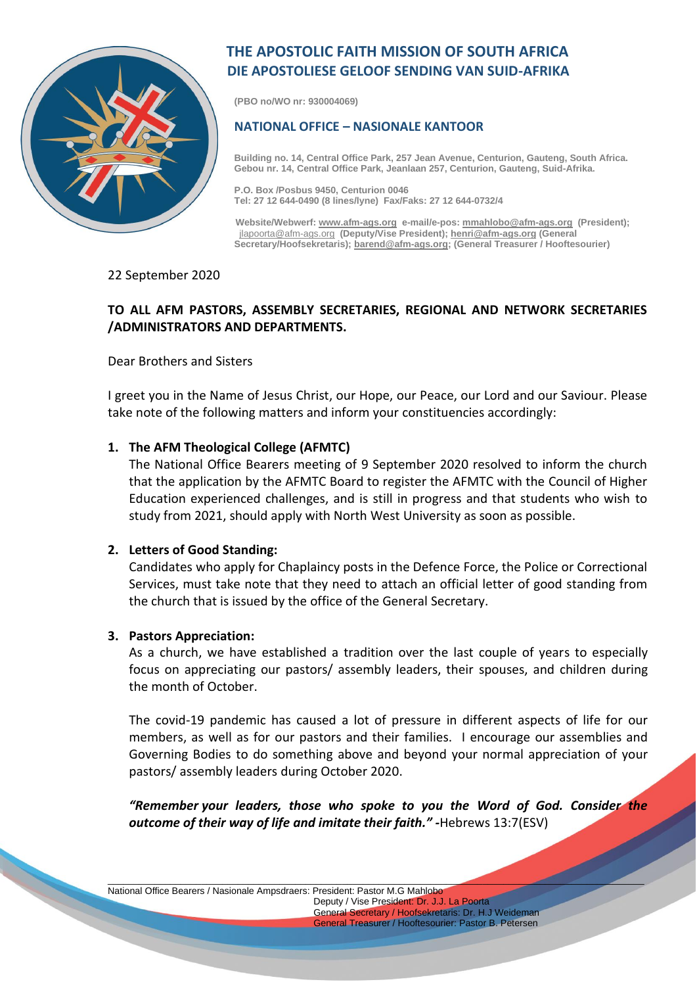

# **THE APOSTOLIC FAITH MISSION OF SOUTH AFRICA DIE APOSTOLIESE GELOOF SENDING VAN SUID-AFRIKA**

**(PBO no/WO nr: 930004069)**

## **NATIONAL OFFICE – NASIONALE KANTOOR**

**Building no. 14, Central Office Park, 257 Jean Avenue, Centurion, Gauteng, South Africa. Gebou nr. 14, Central Office Park, Jeanlaan 257, Centurion, Gauteng, Suid-Afrika.**

**P.O. Box /Posbus 9450, Centurion 0046 Tel: 27 12 644-0490 (8 lines/lyne) Fax/Faks: 27 12 644-0732/4**

 **Website/Webwerf[: www.afm-ags.org](http://www.afm-ags.org/) e-mail/e-pos[: mmahlobo@afm-ags.org](mailto:mmahlobo@afm-ags.org) (President);** [jlapoorta@afm-ags.org](mailto:jlapoorta@afm-ags.org) **(Deputy/Vise President); [henri@afm-ags.org](mailto:henri@afm-ags.org) (General Secretary/Hoofsekretaris)[; barend@afm-ags.org;](mailto:barend@afm-ags.org) (General Treasurer / Hooftesourier)**

### 22 September 2020

# **TO ALL AFM PASTORS, ASSEMBLY SECRETARIES, REGIONAL AND NETWORK SECRETARIES /ADMINISTRATORS AND DEPARTMENTS.**

Dear Brothers and Sisters

I greet you in the Name of Jesus Christ, our Hope, our Peace, our Lord and our Saviour. Please take note of the following matters and inform your constituencies accordingly:

## **1. The AFM Theological College (AFMTC)**

The National Office Bearers meeting of 9 September 2020 resolved to inform the church that the application by the AFMTC Board to register the AFMTC with the Council of Higher Education experienced challenges, and is still in progress and that students who wish to study from 2021, should apply with North West University as soon as possible.

#### **2. Letters of Good Standing:**

Candidates who apply for Chaplaincy posts in the Defence Force, the Police or Correctional Services, must take note that they need to attach an official letter of good standing from the church that is issued by the office of the General Secretary.

#### **3. Pastors Appreciation:**

As a church, we have established a tradition over the last couple of years to especially focus on appreciating our pastors/ assembly leaders, their spouses, and children during the month of October.

The covid-19 pandemic has caused a lot of pressure in different aspects of life for our members, as well as for our pastors and their families. I encourage our assemblies and Governing Bodies to do something above and beyond your normal appreciation of your pastors/ assembly leaders during October 2020.

*"Remember your leaders, those who spoke to you the Word of God. Consider the outcome of their way of life and imitate their faith." -*Hebrews 13:7(ESV)

\_\_\_\_\_\_\_\_\_\_\_\_\_\_\_\_\_\_\_\_\_\_\_\_\_\_\_\_\_\_\_\_\_\_\_\_\_\_\_\_\_\_\_\_\_\_\_\_\_\_\_\_\_\_\_\_\_\_\_\_\_\_\_\_\_\_\_\_\_\_\_\_\_\_\_\_\_\_\_\_\_\_\_\_\_\_\_\_\_\_\_\_\_\_\_\_\_\_\_\_\_\_\_

National Office Bearers / Nasionale Ampsdraers: President: Pastor M.G Mahlobo Deputy / Vise President: Dr. J.J. La Poorta General Secretary / Hoofsekretaris: Dr. H.J Weideman

General Treasurer / Hooftesourier: Pastor B. Petersen